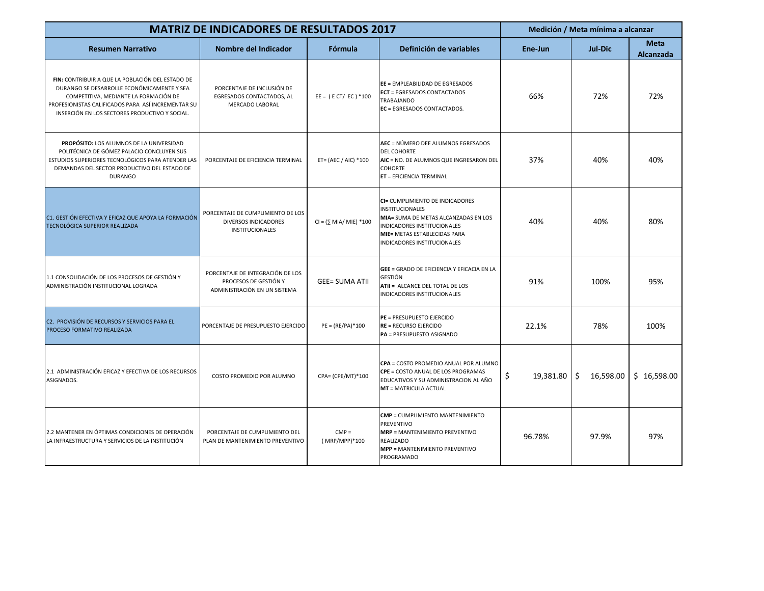| <b>MATRIZ DE INDICADORES DE RESULTADOS 2017</b>                                                                                                                                                                                                 |                                                                                           |                               |                                                                                                                                                                                                 | Medición / Meta mínima a alcanzar |                 |                          |
|-------------------------------------------------------------------------------------------------------------------------------------------------------------------------------------------------------------------------------------------------|-------------------------------------------------------------------------------------------|-------------------------------|-------------------------------------------------------------------------------------------------------------------------------------------------------------------------------------------------|-----------------------------------|-----------------|--------------------------|
| <b>Resumen Narrativo</b>                                                                                                                                                                                                                        | Nombre del Indicador                                                                      | Fórmula                       | Definición de variables                                                                                                                                                                         | Ene-Jun                           | <b>Jul-Dic</b>  | <b>Meta</b><br>Alcanzada |
| FIN: CONTRIBUIR A QUE LA POBLACIÓN DEL ESTADO DE<br>DURANGO SE DESARROLLE ECONÓMICAMENTE Y SEA<br>COMPETITIVA, MEDIANTE LA FORMACIÓN DE<br>PROFESIONISTAS CALIFICADOS PARA ASÍ INCREMENTAR SU<br>INSERCIÓN EN LOS SECTORES PRODUCTIVO Y SOCIAL. | PORCENTAJE DE INCLUSIÓN DE<br>EGRESADOS CONTACTADOS, AL<br><b>MERCADO LABORAL</b>         | $EE = (ECT/EC) * 100$         | EE = EMPLEABILIDAD DE EGRESADOS<br><b>ECT = EGRESADOS CONTACTADOS</b><br><b>TRABAJANDO</b><br>EC = EGRESADOS CONTACTADOS.                                                                       | 66%                               | 72%             | 72%                      |
| <b>PROPÓSITO: LOS ALUMNOS DE LA UNIVERSIDAD</b><br>POLITÉCNICA DE GÓMEZ PALACIO CONCLUYEN SUS<br>ESTUDIOS SUPERIORES TECNOLÓGICOS PARA ATENDER LAS<br>DEMANDAS DEL SECTOR PRODUCTIVO DEL ESTADO DE<br><b>DURANGO</b>                            | PORCENTAJE DE EFICIENCIA TERMINAL                                                         | ET= (AEC / AIC) *100          | AEC = NÚMERO DEE ALUMNOS EGRESADOS<br><b>DEL COHORTE</b><br>AIC = NO. DE ALUMNOS QUE INGRESARON DEL<br><b>COHORTE</b><br>ET = EFICIENCIA TERMINAL                                               | 37%                               | 40%             | 40%                      |
| C1. GESTIÓN EFECTIVA Y EFICAZ QUE APOYA LA FORMACIÓN<br><b>TECNOLÓGICA SUPERIOR REALIZADA</b>                                                                                                                                                   | PORCENTAJE DE CUMPLIMIENTO DE LOS<br>DIVERSOS INDICADORES<br>INSTITUCIONALES              | $CI = (\Sigma MIA/MIE) * 100$ | CI= CUMPLIMIENTO DE INDICADORES<br><b>INSTITUCIONALES</b><br>MIA= SUMA DE METAS ALCANZADAS EN LOS<br>INDICADORES INSTITUCIONALES<br>MIE= METAS ESTABLECIDAS PARA<br>INDICADORES INSTITUCIONALES | 40%                               | 40%             | 80%                      |
| 1.1 CONSOLIDACIÓN DE LOS PROCESOS DE GESTIÓN Y<br>ADMINISTRACIÓN INSTITUCIONAL LOGRADA                                                                                                                                                          | PORCENTAJE DE INTEGRACIÓN DE LOS<br>PROCESOS DE GESTIÓN Y<br>ADMINISTRACIÓN EN UN SISTEMA | <b>GEE= SUMA ATII</b>         | <b>GEE = GRADO DE EFICIENCIA Y EFICACIA EN LA</b><br><b>GESTIÓN</b><br>ATII = ALCANCE DEL TOTAL DE LOS<br>INDICADORES INSTITUCIONALES                                                           | 91%                               | 100%            | 95%                      |
| C2. PROVISIÓN DE RECURSOS Y SERVICIOS PARA EL<br>PROCESO FORMATIVO REALIZADA                                                                                                                                                                    | PORCENTAJE DE PRESUPUESTO EJERCIDO                                                        | $PE = (RE/PA)*100$            | PE = PRESUPUESTO EJERCIDO<br><b>RE = RECURSO EJERCIDO</b><br>PA = PRESUPUESTO ASIGNADO                                                                                                          | 22.1%                             | 78%             | 100%                     |
| 2.1 ADMINISTRACIÓN EFICAZ Y EFECTIVA DE LOS RECURSOS<br>ASIGNADOS.                                                                                                                                                                              | COSTO PROMEDIO POR ALUMNO                                                                 | CPA= (CPE/MT)*100             | CPA = COSTO PROMEDIO ANUAL POR ALUMNO<br>CPE = COSTO ANUAL DE LOS PROGRAMAS<br>EDUCATIVOS Y SU ADMINISTRACION AL AÑO<br><b>MT = MATRICULA ACTUAL</b>                                            | \$<br>19,381.80                   | Ŝ.<br>16,598.00 | \$16,598.00              |
| 2.2 MANTENER EN ÓPTIMAS CONDICIONES DE OPERACIÓN<br>LA INFRAESTRUCTURA Y SERVICIOS DE LA INSTITUCIÓN                                                                                                                                            | PORCENTAJE DE CUMPLIMIENTO DEL<br>PLAN DE MANTENIMIENTO PREVENTIVO                        | $CMP =$<br>(MRP/MPP)*100      | <b>CMP = CUMPLIMIENTO MANTENIMIENTO</b><br><b>PREVENTIVO</b><br><b>MRP = MANTENIMIENTO PREVENTIVO</b><br><b>REALIZADO</b><br><b>MPP = MANTENIMIENTO PREVENTIVO</b><br>PROGRAMADO                | 96.78%                            | 97.9%           | 97%                      |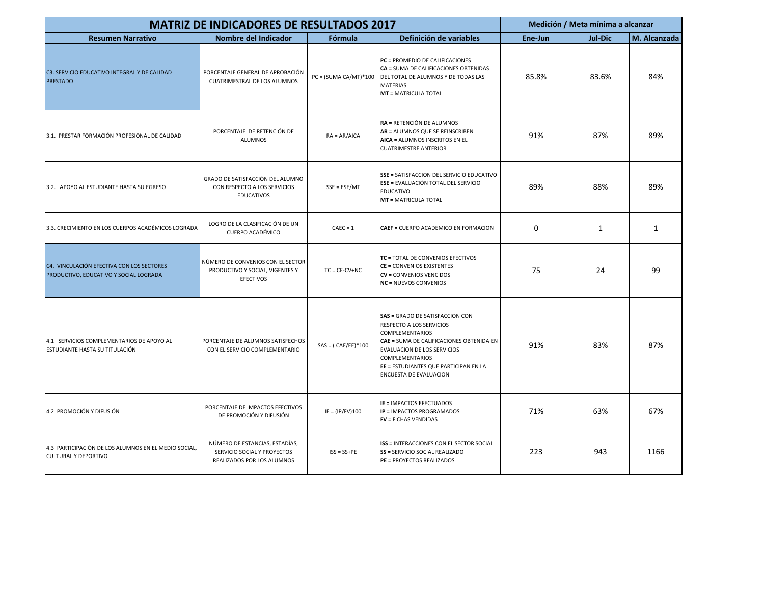| <b>MATRIZ DE INDICADORES DE RESULTADOS 2017</b>                                     |                                                                                             |                         |                                                                                                                                                                                                                                                               | Medición / Meta mínima a alcanzar |                |              |
|-------------------------------------------------------------------------------------|---------------------------------------------------------------------------------------------|-------------------------|---------------------------------------------------------------------------------------------------------------------------------------------------------------------------------------------------------------------------------------------------------------|-----------------------------------|----------------|--------------|
| <b>Resumen Narrativo</b>                                                            | Nombre del Indicador                                                                        | <b>Fórmula</b>          | Definición de variables                                                                                                                                                                                                                                       | Ene-Jun                           | <b>Jul-Dic</b> | M. Alcanzada |
| C3. SERVICIO EDUCATIVO INTEGRAL Y DE CALIDAD<br><b>PRESTADO</b>                     | PORCENTAJE GENERAL DE APROBACIÓN<br>CUATRIMESTRAL DE LOS ALUMNOS                            | $PC = (SUMA CA/MT)*100$ | PC = PROMEDIO DE CALIFICACIONES<br>CA = SUMA DE CALIFICACIONES OBTENIDAS<br>DEL TOTAL DE ALUMNOS Y DE TODAS LAS<br><b>MATERIAS</b><br><b>MT = MATRICULA TOTAL</b>                                                                                             | 85.8%                             | 83.6%          | 84%          |
| 3.1. PRESTAR FORMACIÓN PROFESIONAL DE CALIDAD                                       | PORCENTAJE DE RETENCIÓN DE<br><b>ALUMNOS</b>                                                | $RA = AR/AICA$          | RA = RETENCIÓN DE ALUMNOS<br>AR = ALUMNOS QUE SE REINSCRIBEN<br>AICA = ALUMNOS INSCRITOS EN EL<br><b>CUATRIMESTRE ANTERIOR</b>                                                                                                                                | 91%                               | 87%            | 89%          |
| 3.2. APOYO AL ESTUDIANTE HASTA SU EGRESO                                            | GRADO DE SATISFACCIÓN DEL ALUMNO<br>CON RESPECTO A LOS SERVICIOS<br><b>EDUCATIVOS</b>       | $SSE = ESE/MT$          | SSE = SATISFACCION DEL SERVICIO EDUCATIVO<br><b>ESE = EVALUACIÓN TOTAL DEL SERVICIO</b><br><b>EDUCATIVO</b><br><b>MT = MATRICULA TOTAL</b>                                                                                                                    | 89%                               | 88%            | 89%          |
| 3.3. CRECIMIENTO EN LOS CUERPOS ACADÉMICOS LOGRADA                                  | LOGRO DE LA CLASIFICACIÓN DE UN<br><b>CUERPO ACADÉMICO</b>                                  | $CAEC = 1$              | CAEF = CUERPO ACADEMICO EN FORMACION                                                                                                                                                                                                                          | 0                                 | 1              | 1            |
| C4. VINCULACIÓN EFECTIVA CON LOS SECTORES<br>PRODUCTIVO, EDUCATIVO Y SOCIAL LOGRADA | NÚMERO DE CONVENIOS CON EL SECTOR<br>PRODUCTIVO Y SOCIAL, VIGENTES Y<br><b>EFECTIVOS</b>    | $TC = CE-CV+NC$         | TC = TOTAL DE CONVENIOS EFECTIVOS<br><b>CE = CONVENIOS EXISTENTES</b><br><b>CV = CONVENIOS VENCIDOS</b><br><b>NC</b> = NUEVOS CONVENIOS                                                                                                                       | 75                                | 24             | 99           |
| 4.1 SERVICIOS COMPLEMENTARIOS DE APOYO AL<br>ESTUDIANTE HASTA SU TITULACIÓN         | PORCENTAJE DE ALUMNOS SATISFECHOS<br>CON EL SERVICIO COMPLEMENTARIO                         | $SAS = (CAE/EE)*100$    | SAS = GRADO DE SATISFACCION CON<br>RESPECTO A LOS SERVICIOS<br><b>COMPLEMENTARIOS</b><br>CAE = SUMA DE CALIFICACIONES OBTENIDA EN<br>EVALUACION DE LOS SERVICIOS<br><b>COMPLEMENTARIOS</b><br>EE = ESTUDIANTES QUE PARTICIPAN EN LA<br>ENCUESTA DE EVALUACION | 91%                               | 83%            | 87%          |
| 4.2 PROMOCIÓN Y DIFUSIÓN                                                            | PORCENTAJE DE IMPACTOS EFECTIVOS<br>DE PROMOCIÓN Y DIFUSIÓN                                 | $IE = (IP/FV)100$       | <b>IE = IMPACTOS EFECTUADOS</b><br><b>IP = IMPACTOS PROGRAMADOS</b><br><b>FV = FICHAS VENDIDAS</b>                                                                                                                                                            | 71%                               | 63%            | 67%          |
| 4.3 PARTICIPACIÓN DE LOS ALUMNOS EN EL MEDIO SOCIAL,<br><b>CULTURAL Y DEPORTIVO</b> | NÚMERO DE ESTANCIAS, ESTADÍAS,<br>SERVICIO SOCIAL Y PROYECTOS<br>REALIZADOS POR LOS ALUMNOS | $ISS = SS+PE$           | <b>ISS = INTERACCIONES CON EL SECTOR SOCIAL</b><br><b>SS = SERVICIO SOCIAL REALIZADO</b><br>PE = PROYECTOS REALIZADOS                                                                                                                                         | 223                               | 943            | 1166         |